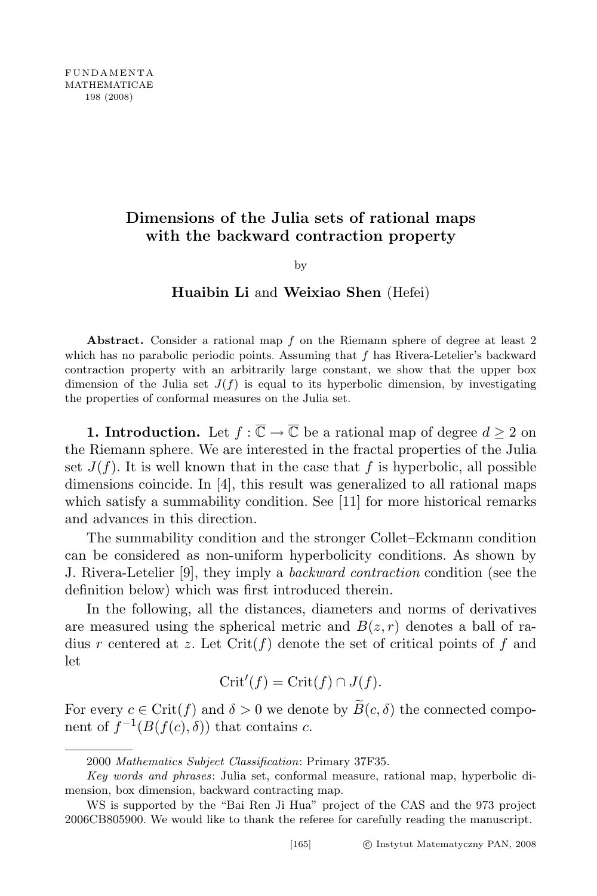# Dimensions of the Julia sets of rational maps with the backward contraction property

by

### Huaibin Li and Weixiao Shen (Hefei)

Abstract. Consider a rational map  $f$  on the Riemann sphere of degree at least 2 which has no parabolic periodic points. Assuming that  $f$  has Rivera-Letelier's backward contraction property with an arbitrarily large constant, we show that the upper box dimension of the Julia set  $J(f)$  is equal to its hyperbolic dimension, by investigating the properties of conformal measures on the Julia set.

**1. Introduction.** Let  $f : \overline{\mathbb{C}} \to \overline{\mathbb{C}}$  be a rational map of degree  $d \geq 2$  on the Riemann sphere. We are interested in the fractal properties of the Julia set  $J(f)$ . It is well known that in the case that f is hyperbolic, all possible dimensions coincide. In [4], this result was generalized to all rational maps which satisfy a summability condition. See [11] for more historical remarks and advances in this direction.

The summability condition and the stronger Collet–Eckmann condition can be considered as non-uniform hyperbolicity conditions. As shown by J. Rivera-Letelier [9], they imply a backward contraction condition (see the definition below) which was first introduced therein.

In the following, all the distances, diameters and norms of derivatives are measured using the spherical metric and  $B(z, r)$  denotes a ball of radius r centered at z. Let  $\mathrm{Crit}(f)$  denote the set of critical points of f and let

$$
\mathrm{Crit}'(f) = \mathrm{Crit}(f) \cap J(f).
$$

For every  $c \in \text{Crit}(f)$  and  $\delta > 0$  we denote by  $\widetilde{B}(c, \delta)$  the connected component of  $f^{-1}(B(f(c),\delta))$  that contains c.

<sup>2000</sup> Mathematics Subject Classification: Primary 37F35.

Key words and phrases: Julia set, conformal measure, rational map, hyperbolic dimension, box dimension, backward contracting map.

WS is supported by the "Bai Ren Ji Hua" project of the CAS and the 973 project 2006CB805900. We would like to thank the referee for carefully reading the manuscript.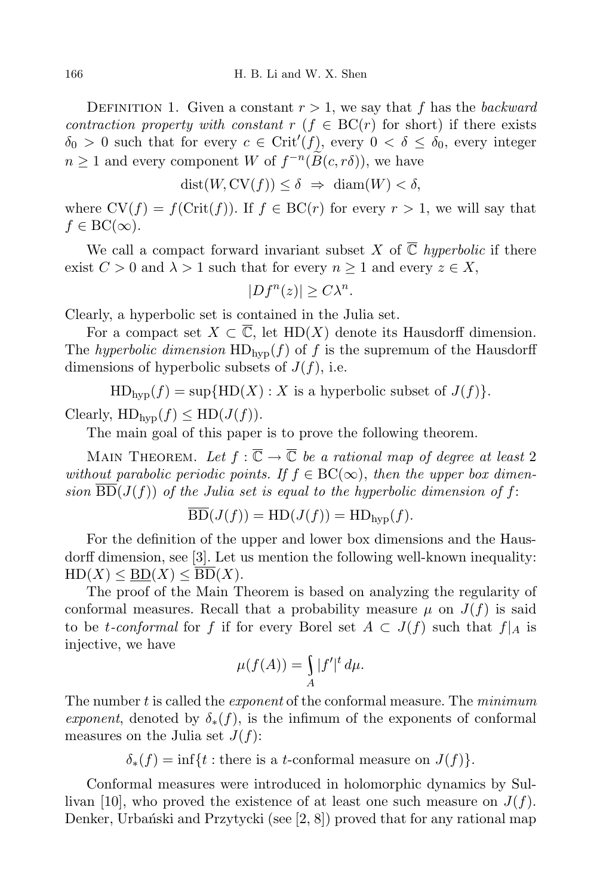DEFINITION 1. Given a constant  $r > 1$ , we say that f has the backward contraction property with constant r ( $f \in BC(r)$  for short) if there exists  $\delta_0 > 0$  such that for every  $c \in \text{Crit}'(f)$ , every  $0 < \delta \leq \delta_0$ , every integer  $n \geq 1$  and every component W of  $f^{-n}(\widetilde{B}(c, r\delta))$ , we have

$$
dist(W, CV(f)) \le \delta \implies diam(W) < \delta,
$$

where  $CV(f) = f(Crit(f))$ . If  $f \in BC(r)$  for every  $r > 1$ , we will say that  $f \in BC(\infty)$ .

We call a compact forward invariant subset X of  $\overline{\mathbb{C}}$  hyperbolic if there exist  $C > 0$  and  $\lambda > 1$  such that for every  $n \ge 1$  and every  $z \in X$ ,

$$
|Df^n(z)| \ge C\lambda^n.
$$

Clearly, a hyperbolic set is contained in the Julia set.

For a compact set  $X \subset \overline{\mathbb{C}}$ , let  $HD(X)$  denote its Hausdorff dimension. The hyperbolic dimension  $HD_{hvp}(f)$  of f is the supremum of the Hausdorff dimensions of hyperbolic subsets of  $J(f)$ , i.e.

 $HD<sub>hvn</sub>(f) = \sup\{HD(X) : X \text{ is a hyperbolic subset of } J(f)\}.$ 

Clearly,  $HD<sub>hvn</sub>(f) \leq HD(J(f)).$ 

The main goal of this paper is to prove the following theorem.

MAIN THEOREM. Let  $f : \overline{\mathbb{C}} \to \overline{\mathbb{C}}$  be a rational map of degree at least 2 without parabolic periodic points. If  $f \in BC(\infty)$ , then the upper box dimension  $\overline{BD}(J(f))$  of the Julia set is equal to the hyperbolic dimension of f:

$$
\overline{\mathrm{BD}}(J(f)) = \mathrm{HD}(J(f)) = \mathrm{HD}_{\mathrm{hyp}}(f).
$$

For the definition of the upper and lower box dimensions and the Hausdorff dimension, see [3]. Let us mention the following well-known inequality:  $HD(X) \le BD(X) \le BD(X)$ .

The proof of the Main Theorem is based on analyzing the regularity of conformal measures. Recall that a probability measure  $\mu$  on  $J(f)$  is said to be t-conformal for f if for every Borel set  $A \subset J(f)$  such that  $f|_A$  is injective, we have

$$
\mu(f(A)) = \int_A |f'|^t \, d\mu.
$$

The number  $t$  is called the *exponent* of the conformal measure. The  $minimum$ exponent, denoted by  $\delta_*(f)$ , is the infimum of the exponents of conformal measures on the Julia set  $J(f)$ :

 $\delta_*(f) = \inf\{t : \text{there is a } t\text{-conformal measure on } J(f)\}.$ 

Conformal measures were introduced in holomorphic dynamics by Sullivan [10], who proved the existence of at least one such measure on  $J(f)$ . Denker, Urbański and Przytycki (see  $[2, 8]$ ) proved that for any rational map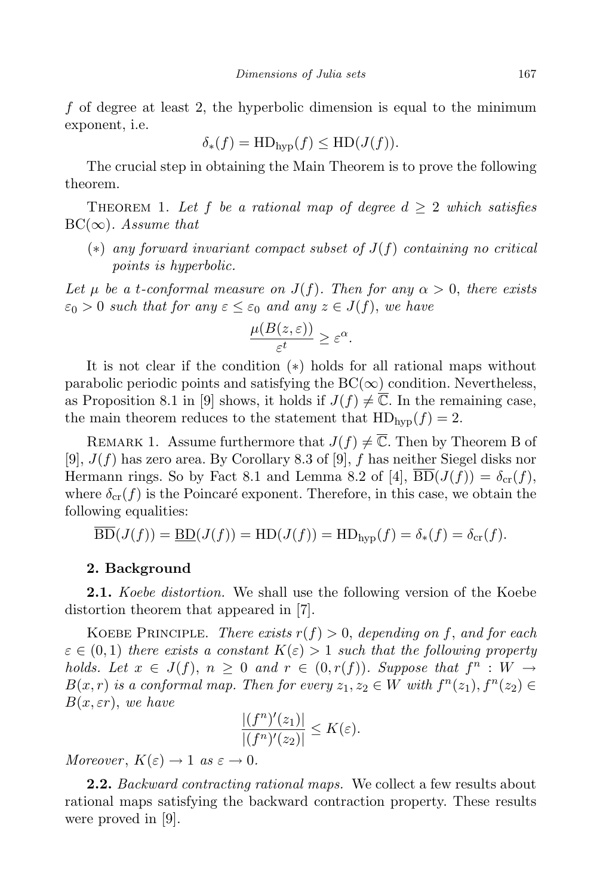f of degree at least 2, the hyperbolic dimension is equal to the minimum exponent, i.e.

$$
\delta_*(f) = \text{HD}_{\text{hyp}}(f) \le \text{HD}(J(f)).
$$

The crucial step in obtaining the Main Theorem is to prove the following theorem.

THEOREM 1. Let f be a rational map of degree  $d \geq 2$  which satisfies  $BC(\infty)$ . Assume that

(\*) any forward invariant compact subset of  $J(f)$  containing no critical points is hyperbolic.

Let  $\mu$  be a t-conformal measure on  $J(f)$ . Then for any  $\alpha > 0$ , there exists  $\varepsilon_0 > 0$  such that for any  $\varepsilon \leq \varepsilon_0$  and any  $z \in J(f)$ , we have

$$
\frac{\mu(B(z,\varepsilon))}{\varepsilon^t} \ge \varepsilon^{\alpha}.
$$

It is not clear if the condition (∗) holds for all rational maps without parabolic periodic points and satisfying the  $BC(\infty)$  condition. Nevertheless, as Proposition 8.1 in [9] shows, it holds if  $J(f) \neq \overline{\mathbb{C}}$ . In the remaining case, the main theorem reduces to the statement that  $HD<sub>hvp</sub>(f) = 2$ .

REMARK 1. Assume furthermore that  $J(f) \neq \overline{\mathbb{C}}$ . Then by Theorem B of [9],  $J(f)$  has zero area. By Corollary 8.3 of [9], f has neither Siegel disks nor Hermann rings. So by Fact 8.1 and Lemma 8.2 of [4],  $\overline{BD}(J(f)) = \delta_{cr}(f)$ , where  $\delta_{cr}(f)$  is the Poincaré exponent. Therefore, in this case, we obtain the following equalities:

$$
\overline{\mathrm{BD}}(J(f)) = \underline{\mathrm{BD}}(J(f)) = \mathrm{HD}(J(f)) = \mathrm{HD}_{\mathrm{hyp}}(f) = \delta_*(f) = \delta_{\mathrm{cr}}(f).
$$

### 2. Background

**2.1.** Koebe distortion. We shall use the following version of the Koebe distortion theorem that appeared in [7].

KOEBE PRINCIPLE. There exists  $r(f) > 0$ , depending on f, and for each  $\varepsilon \in (0,1)$  there exists a constant  $K(\varepsilon) > 1$  such that the following property holds. Let  $x \in J(f)$ ,  $n \geq 0$  and  $r \in (0, r(f))$ . Suppose that  $f^n : W \to$  $B(x,r)$  is a conformal map. Then for every  $z_1, z_2 \in W$  with  $f^n(z_1), f^n(z_2) \in$  $B(x, \varepsilon r)$ , we have

$$
\frac{|(f^n)'(z_1)|}{|(f^n)'(z_2)|} \leq K(\varepsilon).
$$

Moreover,  $K(\varepsilon) \to 1$  as  $\varepsilon \to 0$ .

**2.2.** Backward contracting rational maps. We collect a few results about rational maps satisfying the backward contraction property. These results were proved in [9].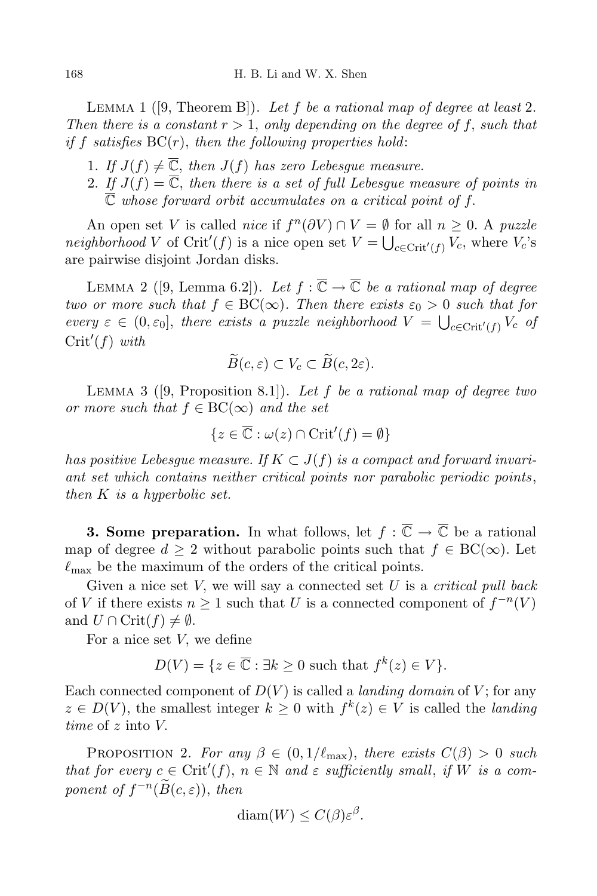LEMMA 1 ([9, Theorem B]). Let f be a rational map of degree at least 2. Then there is a constant  $r > 1$ , only depending on the degree of f, such that if f satisfies  $BC(r)$ , then the following properties hold:

- 1. If  $J(f) \neq \overline{\mathbb{C}}$ , then  $J(f)$  has zero Lebesgue measure.
- 2. If  $J(f) = \overline{\mathbb{C}}$ , then there is a set of full Lebesque measure of points in  $\overline{\mathbb{C}}$  whose forward orbit accumulates on a critical point of f.

An open set V is called *nice* if  $f^n(\partial V) \cap V = \emptyset$  for all  $n \geq 0$ . A puzzle neighborhood V of Crit'(f) is a nice open set  $V = \bigcup_{c \in \text{Crit}'(f)} V_c$ , where  $V_c$ 's are pairwise disjoint Jordan disks.

LEMMA 2 ([9, Lemma 6.2]). Let  $f : \overline{\mathbb{C}} \to \overline{\mathbb{C}}$  be a rational map of degree two or more such that  $f \in BC(\infty)$ . Then there exists  $\varepsilon_0 > 0$  such that for every  $\varepsilon \in (0, \varepsilon_0]$ , there exists a puzzle neighborhood  $V = \bigcup_{c \in \text{Crit}'(f)} V_c$  of  $Crit'(f)$  with

$$
\widetilde{B}(c,\varepsilon)\subset V_c\subset \widetilde{B}(c,2\varepsilon).
$$

LEMMA 3 ( $[9,$  Proposition 8.1]). Let  $f$  be a rational map of degree two or more such that  $f \in BC(\infty)$  and the set

$$
\{z\in\overline{\mathbb{C}}:\omega(z)\cap\mathop{\rm Crit}'(f)=\emptyset\}
$$

has positive Lebesque measure. If  $K \subset J(f)$  is a compact and forward invariant set which contains neither critical points nor parabolic periodic points, then K is a hyperbolic set.

**3. Some preparation.** In what follows, let  $f : \overline{\mathbb{C}} \to \overline{\mathbb{C}}$  be a rational map of degree  $d \geq 2$  without parabolic points such that  $f \in BC(\infty)$ . Let  $\ell_{\text{max}}$  be the maximum of the orders of the critical points.

Given a nice set  $V$ , we will say a connected set  $U$  is a *critical pull back* of V if there exists  $n \geq 1$  such that U is a connected component of  $f^{-n}(V)$ and  $U \cap \text{Crit}(f) \neq \emptyset$ .

For a nice set V, we define

$$
D(V) = \{ z \in \overline{\mathbb{C}} : \exists k \ge 0 \text{ such that } f^k(z) \in V \}.
$$

Each connected component of  $D(V)$  is called a *landing domain* of V; for any  $z \in D(V)$ , the smallest integer  $k \geq 0$  with  $f^k(z) \in V$  is called the *landing* time of z into V.

PROPOSITION 2. For any  $\beta \in (0, 1/\ell_{\max})$ , there exists  $C(\beta) > 0$  such that for every  $c \in \mathrm{Crit}'(f)$ ,  $n \in \mathbb{N}$  and  $\varepsilon$  sufficiently small, if  $W$  is a component of  $f^{-n}(\widetilde{B}(c,\varepsilon))$ , then

$$
\text{diam}(W) \le C(\beta) \varepsilon^{\beta}.
$$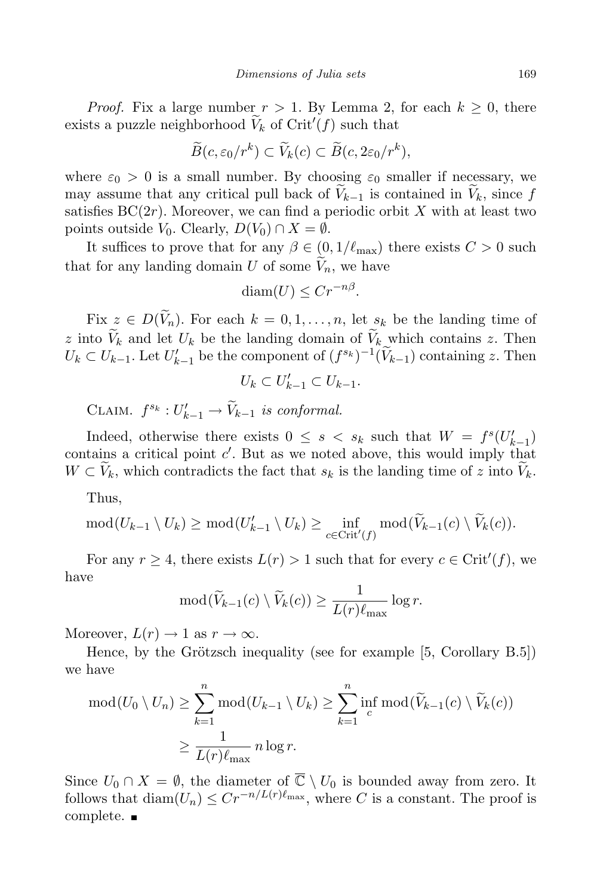*Proof.* Fix a large number  $r > 1$ . By Lemma 2, for each  $k > 0$ , there exists a puzzle neighborhood  $\widetilde{V}_k$  of Crit<sup>'</sup>(f) such that

$$
\widetilde{B}(c,\varepsilon_0/r^k) \subset \widetilde{V}_k(c) \subset \widetilde{B}(c,2\varepsilon_0/r^k),
$$

where  $\varepsilon_0 > 0$  is a small number. By choosing  $\varepsilon_0$  smaller if necessary, we may assume that any critical pull back of  $V_{k-1}$  is contained in  $V_k$ , since f satisfies  $BC(2r)$ . Moreover, we can find a periodic orbit X with at least two points outside  $V_0$ . Clearly,  $D(V_0) \cap X = \emptyset$ .

It suffices to prove that for any  $\beta \in (0, 1/\ell_{\max})$  there exists  $C > 0$  such that for any landing domain U of some  $\widetilde{V}_n$ , we have

$$
\text{diam}(U) \leq Cr^{-n\beta}.
$$

Fix  $z \in D(\widetilde{V}_n)$ . For each  $k = 0, 1, ..., n$ , let  $s_k$  be the landing time of z into  $V_k$  and let  $U_k$  be the landing domain of  $V_k$  which contains z. Then  $U_k \subset U_{k-1}$ . Let  $U'_{k-1}$  be the component of  $(f^{s_k})^{-1}(\widetilde{V}_{k-1})$  containing z. Then

 $U_k \subset U'_{k-1} \subset U_{k-1}.$ 

CLAIM.  $f^{s_k}: U'_{k-1} \to \widetilde{V}_{k-1}$  is conformal.

Indeed, otherwise there exists  $0 \leq s \leq s_k$  such that  $W = f^s(U'_{k-1})$ contains a critical point  $c'$ . But as we noted above, this would imply that  $W \subset V_k$ , which contradicts the fact that  $s_k$  is the landing time of z into  $V_k$ .

Thus,

$$
\operatorname{mod}(U_{k-1}\setminus U_k) \ge \operatorname{mod}(U'_{k-1}\setminus U_k) \ge \inf_{c \in \operatorname{Crit}'(f)} \operatorname{mod}(\widetilde{V}_{k-1}(c)\setminus \widetilde{V}_k(c)).
$$

For any  $r \geq 4$ , there exists  $L(r) > 1$  such that for every  $c \in \text{Crit}'(f)$ , we have

$$
\mathrm{mod}(\widetilde{V}_{k-1}(c)\setminus \widetilde{V}_k(c))\geq \frac{1}{L(r)\ell_{\max}}\log r.
$$

Moreover,  $L(r) \rightarrow 1$  as  $r \rightarrow \infty$ .

Hence, by the Grötzsch inequality (see for example  $[5, Corollary B.5]$ ) we have

$$
\text{mod}(U_0 \setminus U_n) \ge \sum_{k=1}^n \text{mod}(U_{k-1} \setminus U_k) \ge \sum_{k=1}^n \text{inf } \text{mod}(\widetilde{V}_{k-1}(c) \setminus \widetilde{V}_k(c))
$$

$$
\ge \frac{1}{L(r)\ell_{\text{max}}} n \log r.
$$

Since  $U_0 \cap X = \emptyset$ , the diameter of  $\overline{\mathbb{C}} \setminus U_0$  is bounded away from zero. It follows that  $\text{diam}(U_n) \leq Cr^{-n/L(r)\ell_{\max}}$ , where C is a constant. The proof is complete.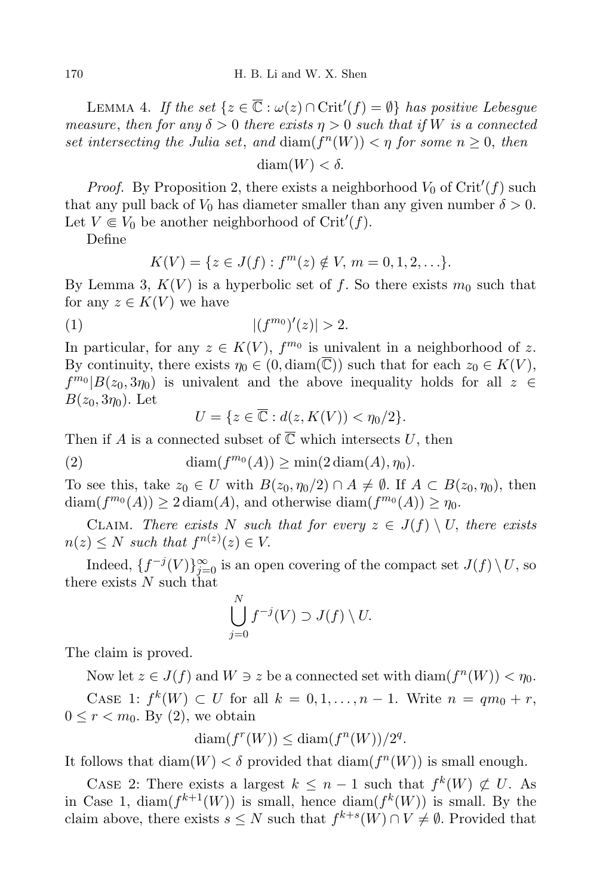LEMMA 4. If the set  $\{z \in \overline{\mathbb{C}} : \omega(z) \cap \text{Crit}'(f) = \emptyset\}$  has positive Lebesgue measure, then for any  $\delta > 0$  there exists  $\eta > 0$  such that if W is a connected set intersecting the Julia set, and  $\dim(f^n(W)) < \eta$  for some  $n \geq 0$ , then

 $diam(W) < \delta$ .

*Proof.* By Proposition 2, there exists a neighborhood  $V_0$  of Crit'(f) such that any pull back of  $V_0$  has diameter smaller than any given number  $\delta > 0$ . Let  $V \in V_0$  be another neighborhood of Crit'(f).

Define

$$
K(V) = \{ z \in J(f) : f^{m}(z) \notin V, m = 0, 1, 2, \ldots \}.
$$

By Lemma 3,  $K(V)$  is a hyperbolic set of f. So there exists  $m_0$  such that for any  $z \in K(V)$  we have

(1) 
$$
|(f^{m_0})'(z)| > 2.
$$

In particular, for any  $z \in K(V)$ ,  $f^{m_0}$  is univalent in a neighborhood of z. By continuity, there exists  $\eta_0 \in (0, \text{diam}(\overline{\mathbb{C}}))$  such that for each  $z_0 \in K(V)$ ,  $f^{m_0}|B(z_0, 3\eta_0)$  is univalent and the above inequality holds for all  $z \in$  $B(z_0, 3\eta_0)$ . Let

$$
U = \{ z \in \overline{\mathbb{C}} : d(z, K(V)) < \eta_0/2 \}.
$$

Then if A is a connected subset of  $\overline{\mathbb{C}}$  which intersects U, then

(2) diam( $f^{m_0}(A)$ )  $\geq$  min(2 diam(A),  $\eta_0$ ).

To see this, take  $z_0 \in U$  with  $B(z_0, \eta_0/2) \cap A \neq \emptyset$ . If  $A \subset B(z_0, \eta_0)$ , then  $\text{diam}(f^{m_0}(A)) \geq 2 \text{diam}(A)$ , and otherwise  $\text{diam}(f^{m_0}(A)) \geq \eta_0$ .

CLAIM. There exists N such that for every  $z \in J(f) \setminus U$ , there exists  $n(z) \leq N$  such that  $f^{n(z)}(z) \in V$ .

Indeed,  $\{f^{-j}(V)\}_{j=0}^{\infty}$  is an open covering of the compact set  $J(f) \setminus U$ , so there exists  $N$  such that

$$
\bigcup_{j=0}^N f^{-j}(V) \supset J(f) \setminus U.
$$

The claim is proved.

Now let  $z \in J(f)$  and  $W \ni z$  be a connected set with  $\text{diam}(f^n(W)) < \eta_0$ . CASE 1:  $f^k(W) \subset U$  for all  $k = 0, 1, ..., n - 1$ . Write  $n = qm_0 + r$ ,  $0 \leq r < m_0$ . By (2), we obtain

$$
\text{diam}(f^r(W)) \le \text{diam}(f^n(W))/2^q.
$$

It follows that  $\text{diam}(W) < \delta$  provided that  $\text{diam}(f^n(W))$  is small enough.

CASE 2: There exists a largest  $k \leq n-1$  such that  $f^k(W) \not\subset U$ . As in Case 1,  $\text{diam}(f^{k+1}(W))$  is small, hence  $\text{diam}(f^k(W))$  is small. By the claim above, there exists  $s \leq N$  such that  $f^{k+s}(W) \cap V \neq \emptyset$ . Provided that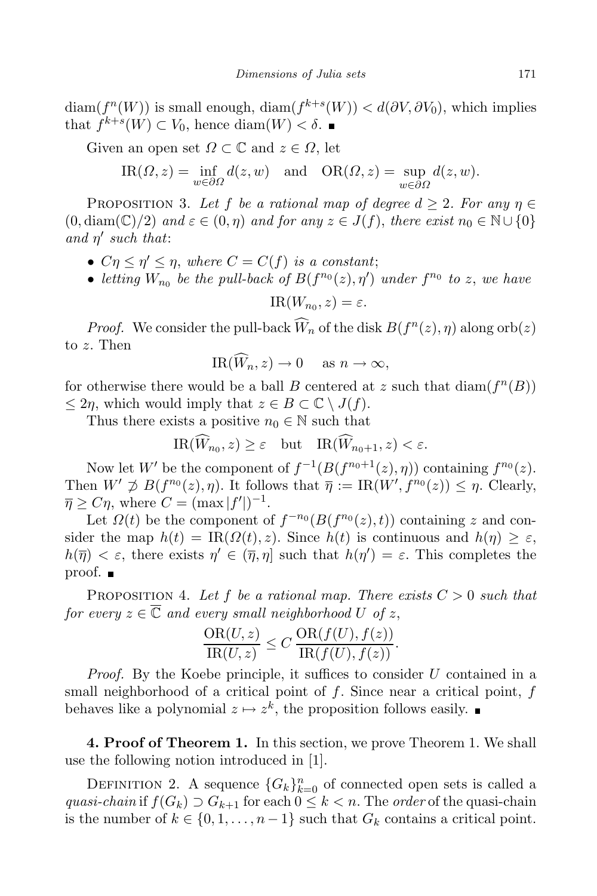$\text{diam}(f^n(W))$  is small enough,  $\text{diam}(f^{k+s}(W)) < d(\partial V, \partial V_0)$ , which implies that  $f^{k+s}(W) \subset V_0$ , hence  $\text{diam}(W) < \delta$ .

Given an open set  $\Omega \subset \mathbb{C}$  and  $z \in \Omega$ , let

$$
IR(\Omega, z) = \inf_{w \in \partial\Omega} d(z, w) \text{ and } OR(\Omega, z) = \sup_{w \in \partial\Omega} d(z, w).
$$

PROPOSITION 3. Let f be a rational map of degree  $d \geq 2$ . For any  $\eta \in$  $(0, \text{diam}(\mathbb{C})/2)$  and  $\varepsilon \in (0, \eta)$  and for any  $z \in J(f)$ , there exist  $n_0 \in \mathbb{N} \cup \{0\}$ and  $\eta'$  such that:

- $C\eta \leq \eta' \leq \eta$ , where  $C = C(f)$  is a constant;
- letting  $W_{n_0}$  be the pull-back of  $B(f^{n_0}(z), \eta')$  under  $f^{n_0}$  to z, we have

$$
IR(W_{n_0}, z) = \varepsilon.
$$

*Proof.* We consider the pull-back  $\widetilde{W}_n$  of the disk  $B(f^n(z), \eta)$  along orb $(z)$ to z. Then

$$
IR(W_n, z) \to 0 \quad \text{as } n \to \infty,
$$

for otherwise there would be a ball B centered at z such that  $\text{diam}(f^n(B))$  $\leq 2\eta$ , which would imply that  $z \in B \subset \mathbb{C} \setminus J(f)$ .

Thus there exists a positive  $n_0 \in \mathbb{N}$  such that

 $\text{IR}(W_{n_0}, z) \geq \varepsilon$  but  $\text{IR}(W_{n_0+1}, z) < \varepsilon$ .

Now let W' be the component of  $f^{-1}(B(f^{n_0+1}(z), \eta))$  containing  $f^{n_0}(z)$ . Then  $W' \not\supseteq B(f^{n_0}(z), \eta)$ . It follows that  $\overline{\eta} := \text{IR}(W', f^{n_0}(z)) \leq \eta$ . Clearly,  $\overline{\eta} \geq C\eta$ , where  $C = (\max |f'|)^{-1}$ .

Let  $\Omega(t)$  be the component of  $f^{-n_0}(B(f^{n_0}(z), t))$  containing z and consider the map  $h(t) = \text{IR}(\Omega(t), z)$ . Since  $h(t)$  is continuous and  $h(\eta) \geq \varepsilon$ ,  $h(\overline{\eta}) < \varepsilon$ , there exists  $\eta' \in (\overline{\eta}, \eta]$  such that  $h(\eta') = \varepsilon$ . This completes the proof.

PROPOSITION 4. Let f be a rational map. There exists  $C > 0$  such that for every  $z \in \overline{\mathbb{C}}$  and every small neighborhood U of z,

$$
\frac{\text{OR}(U,z)}{\text{IR}(U,z)} \le C \frac{\text{OR}(f(U), f(z))}{\text{IR}(f(U), f(z))}.
$$

Proof. By the Koebe principle, it suffices to consider U contained in a small neighborhood of a critical point of  $f$ . Since near a critical point,  $f$ behaves like a polynomial  $z \mapsto z^k$ , the proposition follows easily.

4. Proof of Theorem 1. In this section, we prove Theorem 1. We shall use the following notion introduced in [1].

DEFINITION 2. A sequence  ${G_k}_{k=0}^n$  of connected open sets is called a quasi-chain if  $f(G_k) \supset G_{k+1}$  for each  $0 \leq k < n$ . The order of the quasi-chain is the number of  $k \in \{0, 1, \ldots, n-1\}$  such that  $G_k$  contains a critical point.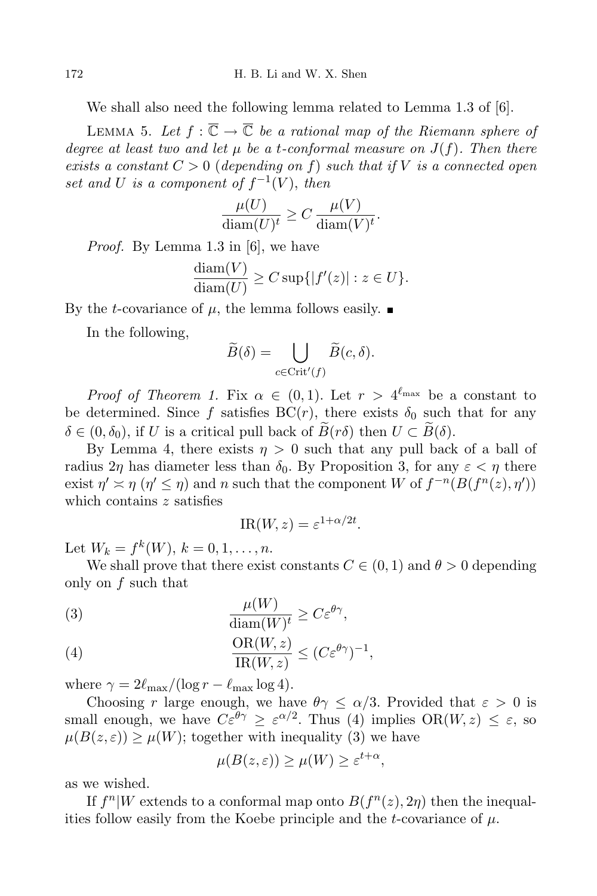We shall also need the following lemma related to Lemma 1.3 of [6].

LEMMA 5. Let  $f : \overline{\mathbb{C}} \to \overline{\mathbb{C}}$  be a rational map of the Riemann sphere of degree at least two and let  $\mu$  be a t-conformal measure on  $J(f)$ . Then there exists a constant  $C > 0$  (depending on f) such that if V is a connected open set and U is a component of  $f^{-1}(V)$ , then

$$
\frac{\mu(U)}{\text{diam}(U)^t} \ge C \frac{\mu(V)}{\text{diam}(V)^t}.
$$

Proof. By Lemma 1.3 in [6], we have

$$
\frac{\text{diam}(V)}{\text{diam}(U)} \ge C \sup\{|f'(z)| : z \in U\}.
$$

By the *t*-covariance of  $\mu$ , the lemma follows easily.

In the following,

$$
\widetilde{B}(\delta) = \bigcup_{c \in \text{Crit}'(f)} \widetilde{B}(c, \delta).
$$

*Proof of Theorem 1.* Fix  $\alpha \in (0,1)$ . Let  $r > 4^{\ell_{\max}}$  be a constant to be determined. Since f satisfies  $BC(r)$ , there exists  $\delta_0$  such that for any  $\delta \in (0, \delta_0)$ , if U is a critical pull back of  $B(r\delta)$  then  $U \subset B(\delta)$ .

By Lemma 4, there exists  $\eta > 0$  such that any pull back of a ball of radius  $2\eta$  has diameter less than  $\delta_0$ . By Proposition 3, for any  $\varepsilon < \eta$  there exist  $\eta' \asymp \eta \ (\eta' \leq \eta)$  and n such that the component W of  $f^{-n}(B(f^n(z), \eta'))$ which contains z satisfies

$$
IR(W, z) = \varepsilon^{1 + \alpha/2t}.
$$

Let  $W_k = f^k(W)$ ,  $k = 0, 1, ..., n$ .

We shall prove that there exist constants  $C \in (0, 1)$  and  $\theta > 0$  depending only on f such that

(3) 
$$
\frac{\mu(W)}{\text{diam}(W)^t} \ge C\varepsilon^{\theta\gamma},
$$

(4) 
$$
\frac{\text{OR}(W,z)}{\text{IR}(W,z)} \leq (C\varepsilon^{\theta\gamma})^{-1},
$$

where  $\gamma = 2\ell_{\text{max}}/(\log r - \ell_{\text{max}} \log 4)$ .

Choosing r large enough, we have  $\theta \gamma \leq \alpha/3$ . Provided that  $\varepsilon > 0$  is small enough, we have  $C\varepsilon^{\theta\gamma} \geq \varepsilon^{\alpha/2}$ . Thus (4) implies  $OR(W, z) \leq \varepsilon$ , so  $\mu(B(z, \varepsilon)) \geq \mu(W)$ ; together with inequality (3) we have

$$
\mu(B(z,\varepsilon)) \ge \mu(W) \ge \varepsilon^{t+\alpha},
$$

as we wished.

If  $f^n|W$  extends to a conformal map onto  $B(f^n(z), 2\eta)$  then the inequalities follow easily from the Koebe principle and the t-covariance of  $\mu$ .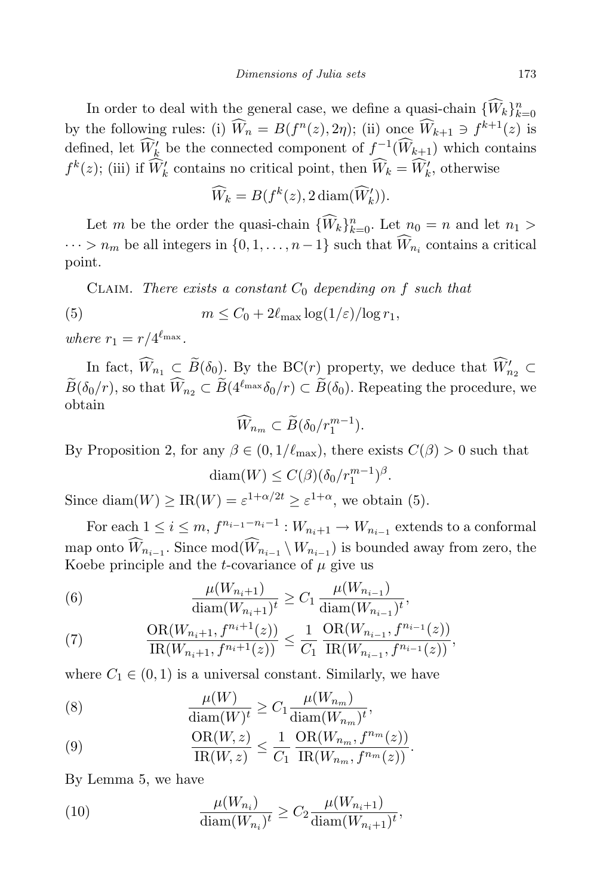In order to deal with the general case, we define a quasi-chain  $\{W_k\}_{k=0}^n$ by the following rules: (i)  $\hat{W}_n = B(f^n(z), 2\eta)$ ; (ii) once  $\hat{W}_{k+1} \ni f^{k+1}(z)$  is defined, let  $\widehat{W}'_k$  be the connected component of  $f^{-1}(\widehat{W}_{k+1})$  which contains  $f^k(z)$ ; (iii) if  $\widehat{W}'_k$  contains no critical point, then  $\widehat{W}_k = \widehat{W}'_k$ , otherwise

$$
\widehat{W}_k = B(f^k(z), 2 \operatorname{diam}(\widehat{W}'_k)).
$$

Let m be the order the quasi-chain  $\{\widetilde{W}_k\}_{k=0}^n$ . Let  $n_0 = n$  and let  $n_1 >$  $\cdots > n_m$  be all integers in  $\{0, 1, \ldots, n-1\}$  such that  $W_{n_i}$  contains a critical point.

CLAIM. There exists a constant  $C_0$  depending on f such that

(5) 
$$
m \leq C_0 + 2\ell_{\max} \log(1/\varepsilon)/\log r_1,
$$

where  $r_1 = r/4^{\ell_{\max}}$ .

In fact,  $\widehat{W}_{n_1} \subset \widetilde{B}(\delta_0)$ . By the BC(*r*) property, we deduce that  $\widehat{W}'_{n_2} \subset$  $\widetilde{B}(\delta_0/r)$ , so that  $\widehat{W}_{n_2} \subset \widetilde{B}(4^{\ell_{\max}}\delta_0/r) \subset \widetilde{B}(\delta_0)$ . Repeating the procedure, we obtain

$$
\widehat{W}_{n_m} \subset \widetilde{B}(\delta_0/r_1^{m-1}).
$$

By Proposition 2, for any  $\beta \in (0, 1/\ell_{\max})$ , there exists  $C(\beta) > 0$  such that

$$
\text{diam}(W) \le C(\beta) (\delta_0/r_1^{m-1})^{\beta}.
$$

Since diam $(W) \geq \text{IR}(W) = \varepsilon^{1+\alpha/2t} \geq \varepsilon^{1+\alpha}$ , we obtain (5).

For each  $1 \leq i \leq m$ ,  $f^{n_{i-1}-n_i-1} : W_{n_i+1} \to W_{n_{i-1}}$  extends to a conformal map onto  $W_{n_{i-1}}$ . Since  $mod(W_{n_{i-1}} \setminus W_{n_{i-1}})$  is bounded away from zero, the Koebe principle and the *t*-covariance of  $\mu$  give us

(6) 
$$
\frac{\mu(W_{n_i+1})}{\text{diam}(W_{n_i+1})^t} \ge C_1 \frac{\mu(W_{n_{i-1}})}{\text{diam}(W_{n_{i-1}})^t},
$$

(7) 
$$
\frac{\text{OR}(W_{n_i+1}, f^{n_i+1}(z))}{\text{IR}(W_{n_i+1}, f^{n_i+1}(z))} \leq \frac{1}{C_1} \frac{\text{OR}(W_{n_{i-1}}, f^{n_{i-1}}(z))}{\text{IR}(W_{n_{i-1}}, f^{n_{i-1}}(z))},
$$

where  $C_1 \in (0, 1)$  is a universal constant. Similarly, we have

(8) 
$$
\frac{\mu(W)}{\text{diam}(W)^t} \ge C_1 \frac{\mu(W_{n_m})}{\text{diam}(W_{n_m})^t},
$$

(9) 
$$
\frac{\text{OR}(W,z)}{\text{IR}(W,z)} \leq \frac{1}{C_1} \frac{\text{OR}(W_{n_m}, f^{n_m}(z))}{\text{IR}(W_{n_m}, f^{n_m}(z))}.
$$

By Lemma 5, we have

(10) 
$$
\frac{\mu(W_{n_i})}{\text{diam}(W_{n_i})^t} \ge C_2 \frac{\mu(W_{n_i+1})}{\text{diam}(W_{n_i+1})^t},
$$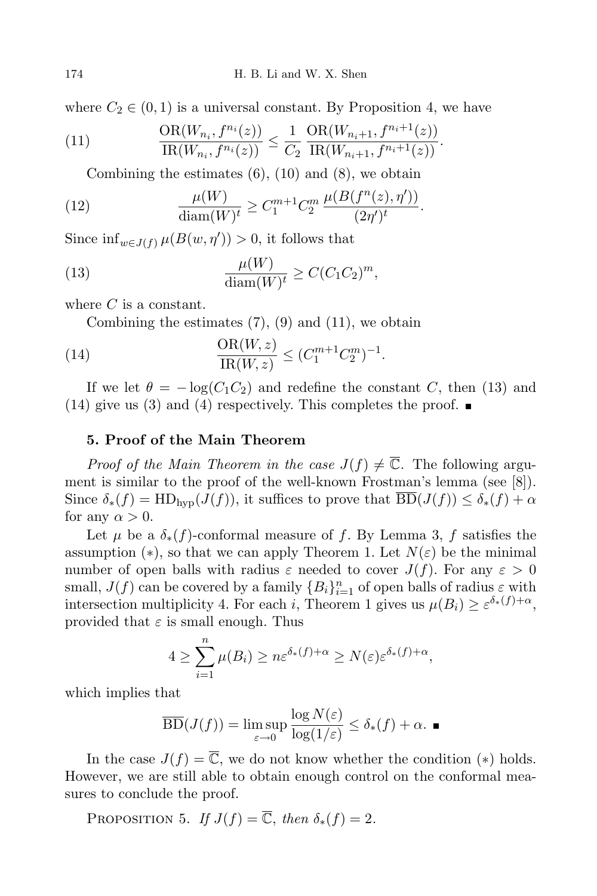where  $C_2 \in (0,1)$  is a universal constant. By Proposition 4, we have

(11) 
$$
\frac{\text{OR}(W_{n_i}, f^{n_i}(z))}{\text{IR}(W_{n_i}, f^{n_i}(z))} \leq \frac{1}{C_2} \frac{\text{OR}(W_{n_i+1}, f^{n_i+1}(z))}{\text{IR}(W_{n_i+1}, f^{n_i+1}(z))}.
$$

Combining the estimates  $(6)$ ,  $(10)$  and  $(8)$ , we obtain

(12) 
$$
\frac{\mu(W)}{\text{diam}(W)^t} \ge C_1^{m+1} C_2^m \frac{\mu(B(f^n(z), \eta'))}{(2\eta')^t}.
$$

Since  $\inf_{w \in J(f)} \mu(B(w, \eta')) > 0$ , it follows that

(13) 
$$
\frac{\mu(W)}{\text{diam}(W)^t} \ge C(C_1C_2)^m,
$$

where  $C$  is a constant.

Combining the estimates  $(7)$ ,  $(9)$  and  $(11)$ , we obtain

(14) 
$$
\frac{\text{OR}(W, z)}{\text{IR}(W, z)} \le (C_1^{m+1} C_2^m)^{-1}.
$$

If we let  $\theta = -\log(C_1C_2)$  and redefine the constant C, then (13) and (14) give us (3) and (4) respectively. This completes the proof.  $\blacksquare$ 

## 5. Proof of the Main Theorem

*Proof of the Main Theorem in the case*  $J(f) \neq \overline{\mathbb{C}}$ . The following argument is similar to the proof of the well-known Frostman's lemma (see [8]). Since  $\delta_*(f) = \text{HD}_{\text{hvp}}(J(f))$ , it suffices to prove that  $\overline{\text{BD}}(J(f)) \leq \delta_*(f) + \alpha$ for any  $\alpha > 0$ .

Let  $\mu$  be a  $\delta_*(f)$ -conformal measure of f. By Lemma 3, f satisfies the assumption (\*), so that we can apply Theorem 1. Let  $N(\varepsilon)$  be the minimal number of open balls with radius  $\varepsilon$  needed to cover  $J(f)$ . For any  $\varepsilon > 0$ small,  $J(f)$  can be covered by a family  ${B_i}_{i=1}^n$  of open balls of radius  $\varepsilon$  with intersection multiplicity 4. For each *i*, Theorem 1 gives us  $\mu(B_i) \geq \varepsilon^{\delta_*(f)+\alpha}$ , provided that  $\varepsilon$  is small enough. Thus

$$
4 \geq \sum_{i=1}^n \mu(B_i) \geq n\varepsilon^{\delta_*(f)+\alpha} \geq N(\varepsilon)\varepsilon^{\delta_*(f)+\alpha},
$$

which implies that

$$
\overline{\mathrm{BD}}(J(f)) = \limsup_{\varepsilon \to 0} \frac{\log N(\varepsilon)}{\log(1/\varepsilon)} \le \delta_*(f) + \alpha.
$$

In the case  $J(f) = \overline{\mathbb{C}}$ , we do not know whether the condition (\*) holds. However, we are still able to obtain enough control on the conformal measures to conclude the proof.

PROPOSITION 5. If  $J(f) = \overline{\mathbb{C}}$ , then  $\delta_*(f) = 2$ .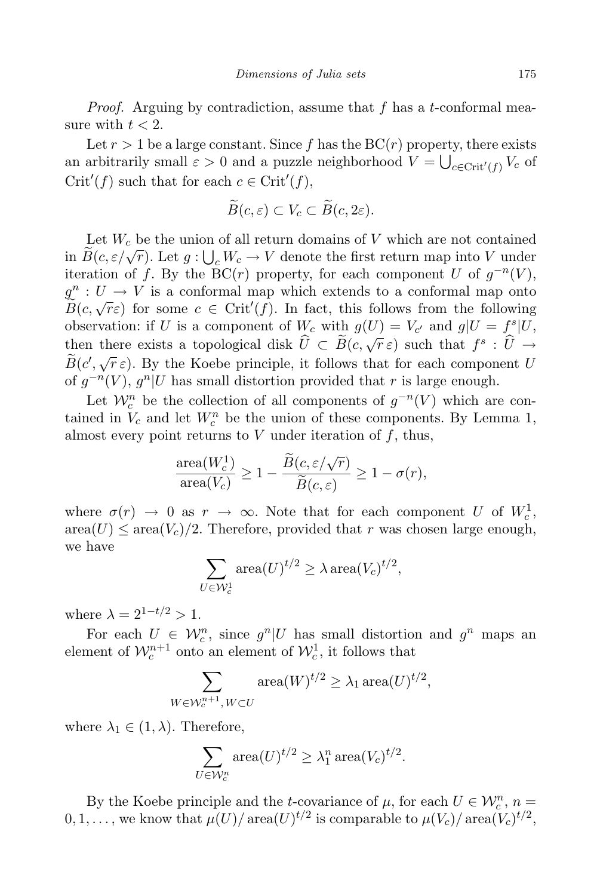*Proof.* Arguing by contradiction, assume that  $f$  has a t-conformal measure with  $t < 2$ .

Let  $r > 1$  be a large constant. Since f has the  $BC(r)$  property, there exists an arbitrarily small  $\varepsilon > 0$  and a puzzle neighborhood  $V = \bigcup_{c \in \text{Crit}'(f)} V_c$  of  $Crit'(f)$  such that for each  $c \in Crit'(f)$ ,

$$
\widetilde{B}(c,\varepsilon)\subset V_c\subset \widetilde{B}(c,2\varepsilon).
$$

Let  $W_c$  be the union of all return domains of  $V$  which are not contained in  $\widetilde{B}(c, \varepsilon/\sqrt{r})$ . Let  $g: \bigcup_{c} W_c \to V$  denote the first return map into V under iteration of f. By the  $\overline{BC}(r)$  property, for each component U of  $g^{-n}(V)$ ,  $g^n : U \to V$  is a conformal map which extends to a conformal map onto  $\widetilde{B}(c,\sqrt{r}\varepsilon)$  for some  $c \in \mathrm{Crit}'(f)$ . In fact, this follows from the following observation: if U is a component of  $W_c$  with  $g(U) = V_{c'}$  and  $g|U = f_c^s|U$ , then there exists a topological disk  $\hat{U} \subset \widetilde{B}(c, \sqrt{r}\epsilon)$  such that  $f^s : \hat{U} \to$  $\widetilde{B}(c',\sqrt{r}\,\varepsilon)$ . By the Koebe principle, it follows that for each component U of  $g^{-n}(V)$ ,  $g^n|U$  has small distortion provided that r is large enough.

Let  $\mathcal{W}_c^n$  be the collection of all components of  $g^{-n}(V)$  which are contained in  $V_c$  and let  $W_c^n$  be the union of these components. By Lemma 1, almost every point returns to  $V$  under iteration of  $f$ , thus,

$$
\frac{\text{area}(W_c^1)}{\text{area}(V_c)} \ge 1 - \frac{\widetilde{B}(c, \varepsilon/\sqrt{r})}{\widetilde{B}(c, \varepsilon)} \ge 1 - \sigma(r),
$$

where  $\sigma(r) \to 0$  as  $r \to \infty$ . Note that for each component U of  $W_c^1$ ,  $area(U) \leq area(V_c)/2$ . Therefore, provided that r was chosen large enough, we have

$$
\sum_{U \in \mathcal{W}_c^1} \text{area}(U)^{t/2} \ge \lambda \text{area}(V_c)^{t/2},
$$

where  $\lambda = 2^{1-t/2} > 1$ .

For each  $U \in \mathcal{W}_c^n$ , since  $g^n|U$  has small distortion and  $g^n$  maps an element of  $\mathcal{W}_c^{n+1}$  onto an element of  $\mathcal{W}_c^1$ , it follows that

$$
\sum_{W \in \mathcal{W}_c^{n+1}, W \subset U} \text{area}(W)^{t/2} \ge \lambda_1 \operatorname{area}(U)^{t/2},
$$

where  $\lambda_1 \in (1, \lambda)$ . Therefore,

$$
\sum_{U \in \mathcal{W}_c^n} \text{area}(U)^{t/2} \ge \lambda_1^n \text{area}(V_c)^{t/2}.
$$

By the Koebe principle and the t-covariance of  $\mu$ , for each  $U \in \mathcal{W}_c^n$ ,  $n =$  $0, 1, \ldots$ , we know that  $\mu(U)/\operatorname{area}(U)^{t/2}$  is comparable to  $\mu(V_c)/\operatorname{area}(V_c)^{t/2}$ ,